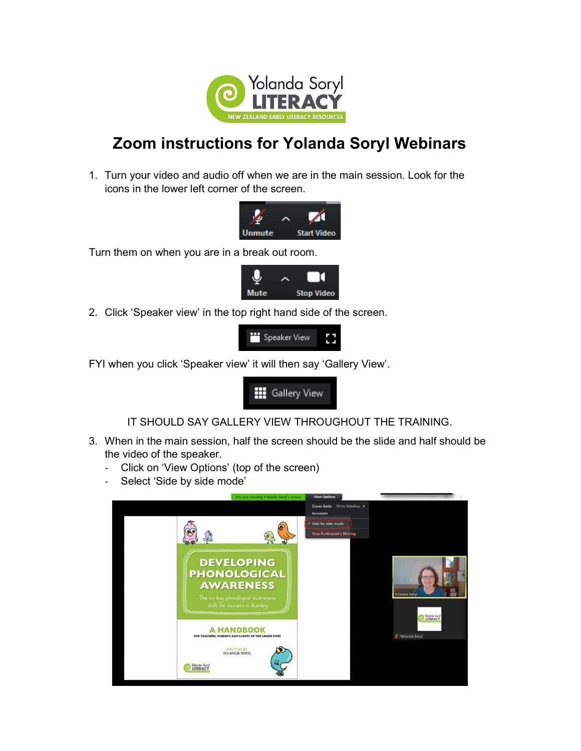

## Zoom instructions for Yolanda Soryl Webinars

1. Turn your video and audio off when we are in the main session. Look for the icons in the lower left corner of the screen.



Turn them on when you are in a break out room.



2. Click 'Speaker view' in the top right hand side of the screen.



FYI when you click 'Speaker view' it will then say 'Gallery View'.



IT SHOULD SAY GALLERY VIEW THROUGHOUT THE TRAINING.

- 3. When in the main session, half the screen should be the slide and half should be the video of the speaker.
	- Click on 'View Options' (top of the screen)
	- Select 'Side by side mode'